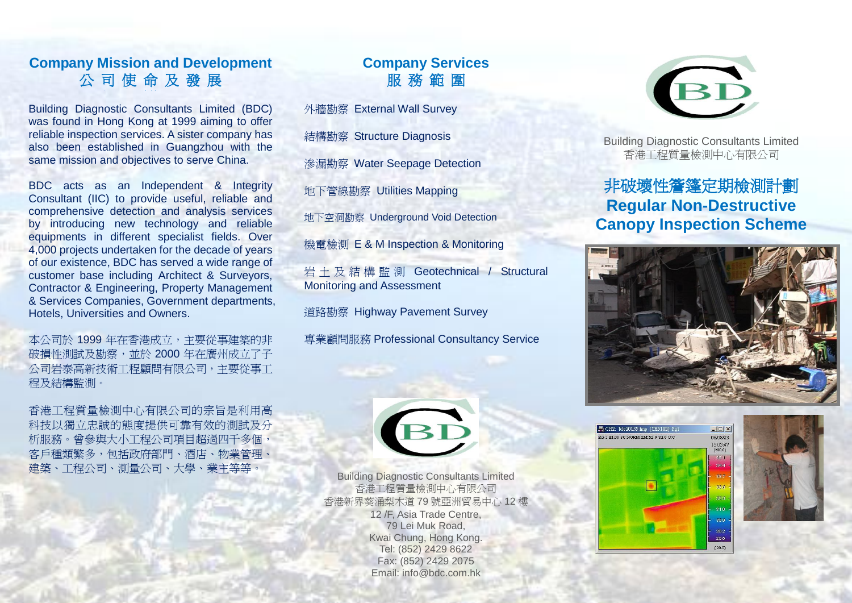## **Company Mission and Development**  公 司 使 命 及 發 展

Building Diagnostic Consultants Limited (BDC) was found in Hong Kong at 1999 aiming to offer reliable inspection services. A sister company has also been established in Guangzhou with the same mission and objectives to serve China.

BDC acts as an Independent & Integrity Consultant (IIC) to provide useful, reliable and comprehensive detection and analysis services by introducing new technology and reliable equipments in different specialist fields. Over 4,000 projects undertaken for the decade of years of our existence, BDC has served a wide range of customer base including Architect & Surveyors, Contractor & Engineering, Property Management & Services Companies, Government departments, Hotels, Universities and Owners.

本公司於 1999 年在香港成立,主要從事建築的非 破損性測試及勘察,並於 2000 年在廣州成立了子 公司岩泰高新技術工程顧問有限公司,主要從事工 程及結構監測。

香港工程質量檢測中心有限公司的宗旨是利用高 科技以獨立忠誠的態度提供可靠有效的測試及分 析服務。曾參與大小工程公司項目超過四千多個, 客戶種類繁多,包括政府部門、酒店、物業管理、 建築、工程公司、測量公司、大學、業主等等。

# **Company Services**  服 務 範 圍

[外牆勘察](http://www.bdc.com.hk/product_in_cat_cn.php?cat_id=132) [External Wall Survey](http://www.bdc.com.hk/product_in_cat.php?cat_id=132)

[結構勘察](http://www.bdc.com.hk/product_in_cat_cn.php?cat_id=136) [Structure Diagnosis](http://www.bdc.com.hk/product_in_cat.php?cat_id=136) 

[滲漏勘察](http://www.bdc.com.hk/product_in_cat_cn.php?cat_id=133) [Water Seepage Detection](http://www.bdc.com.hk/product_in_cat.php?cat_id=133) 

[地下管線勘察](http://www.bdc.com.hk/product_in_cat_cn.php?cat_id=135) [Utilities Mapping](http://www.bdc.com.hk/product_in_cat.php?cat_id=135) 

地下空洞勘察 Underground Void Detection

[機電檢測](http://www.bdc.com.hk/product_in_cat_cn.php?cat_id=134) [E & M Inspection & Monitoring](http://www.bdc.com.hk/product_in_cat.php?cat_id=134) 

[岩土及結構監測](http://www.bdc.com.hk/product_in_cat_cn.php?cat_id=158) Geotechnical / Structural Monitoring and Assessment

道路勘察 Highway Pavement Survey

[專業顧問服務](http://www.bdc.com.hk/product_in_cat_cn.php?cat_id=137) [Professional Consultancy Service](http://www.bdc.com.hk/product_in_cat_cn.php?cat_id=137)



Building Diagnostic Consultants Limited 香港工程質量檢測中心有限公司 香港新界葵涌梨木道 79 號亞洲貿易中心 12 樓 12 /F, Asia Trade Centre, 79 Lei Muk Road, Kwai Chung, Hong Kong. Tel: (852) 2429 8622 Fax: (852) 2429 2075 Email: [info@bdc.com.hk](mailto:info@bdc.com.hk)



Building Diagnostic Consultants Limited 香港工程質量檢測中心有限公司

# 非破壞性簷篷定期檢測計劃 **Regular Non-Destructive Canopy Inspection Scheme**